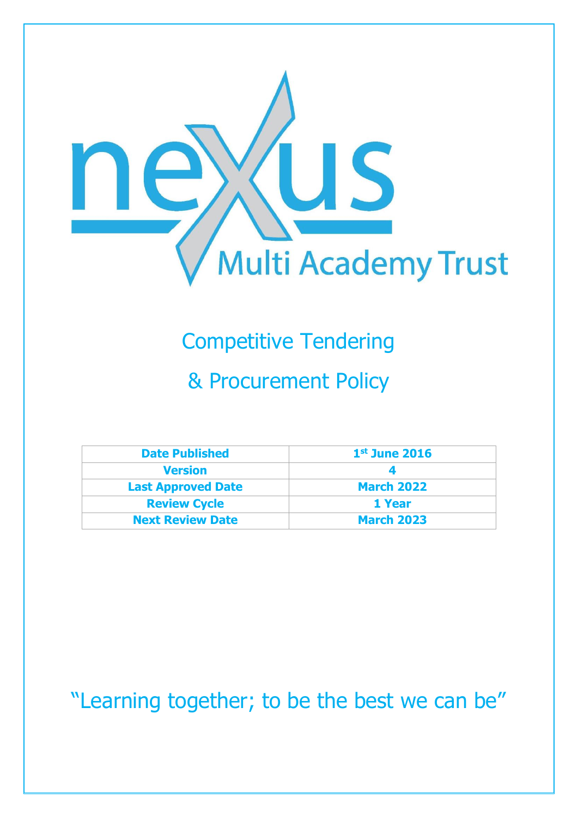

# Competitive Tendering

## & Procurement Policy

| <b>Date Published</b>     | $1st$ June 2016   |
|---------------------------|-------------------|
| <b>Version</b>            |                   |
| <b>Last Approved Date</b> | <b>March 2022</b> |
| <b>Review Cycle</b>       | 1 Year            |
| <b>Next Review Date</b>   | <b>March 2023</b> |

"Learning together; to be the best we can be"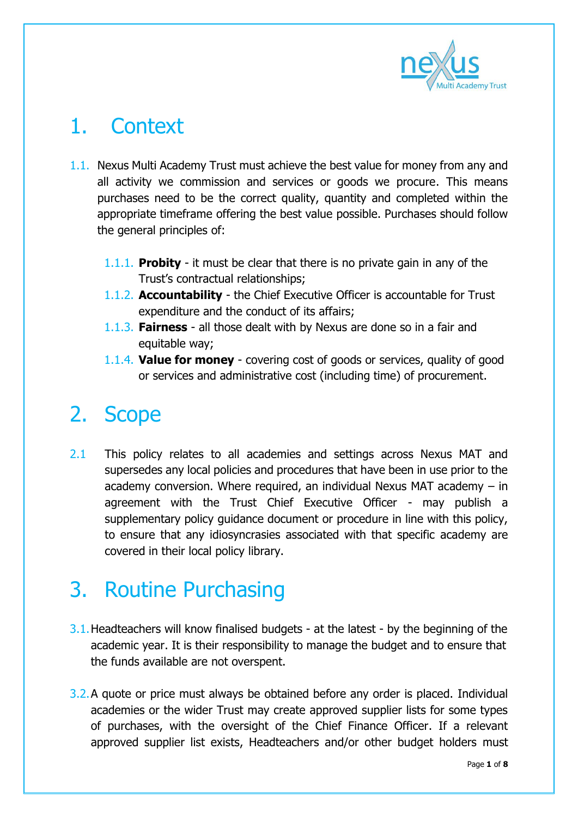

## 1. Context

- 1.1. Nexus Multi Academy Trust must achieve the best value for money from any and all activity we commission and services or goods we procure. This means purchases need to be the correct quality, quantity and completed within the appropriate timeframe offering the best value possible. Purchases should follow the general principles of:
	- 1.1.1. **Probity** it must be clear that there is no private gain in any of the Trust's contractual relationships;
	- 1.1.2. **Accountability** the Chief Executive Officer is accountable for Trust expenditure and the conduct of its affairs;
	- 1.1.3. **Fairness** all those dealt with by Nexus are done so in a fair and equitable way;
	- 1.1.4. **Value for money** covering cost of goods or services, quality of good or services and administrative cost (including time) of procurement.

## 2. Scope

2.1 This policy relates to all academies and settings across Nexus MAT and supersedes any local policies and procedures that have been in use prior to the academy conversion. Where required, an individual Nexus MAT academy – in agreement with the Trust Chief Executive Officer - may publish a supplementary policy guidance document or procedure in line with this policy, to ensure that any idiosyncrasies associated with that specific academy are covered in their local policy library.

## 3. Routine Purchasing

- 3.1.Headteachers will know finalised budgets at the latest by the beginning of the academic year. It is their responsibility to manage the budget and to ensure that the funds available are not overspent.
- 3.2.A quote or price must always be obtained before any order is placed. Individual academies or the wider Trust may create approved supplier lists for some types of purchases, with the oversight of the Chief Finance Officer. If a relevant approved supplier list exists, Headteachers and/or other budget holders must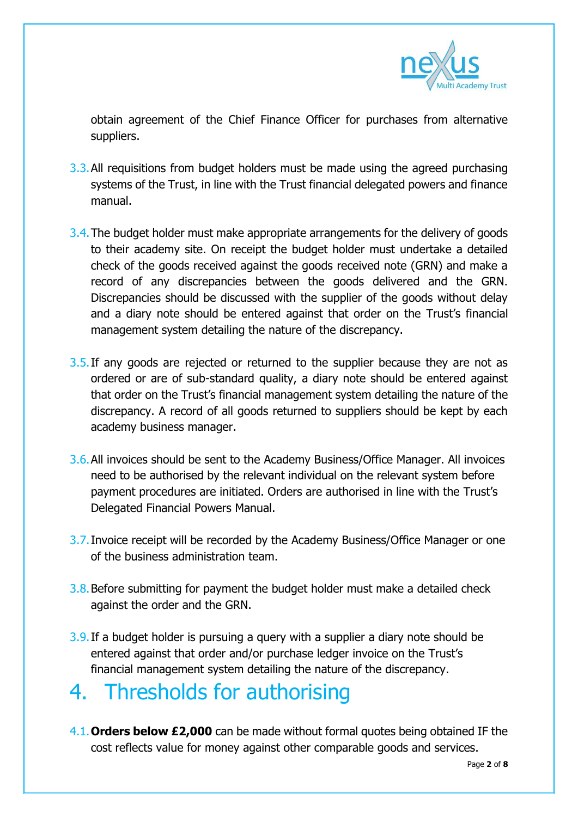

obtain agreement of the Chief Finance Officer for purchases from alternative suppliers.

- 3.3. All requisitions from budget holders must be made using the agreed purchasing systems of the Trust, in line with the Trust financial delegated powers and finance manual.
- 3.4.The budget holder must make appropriate arrangements for the delivery of goods to their academy site. On receipt the budget holder must undertake a detailed check of the goods received against the goods received note (GRN) and make a record of any discrepancies between the goods delivered and the GRN. Discrepancies should be discussed with the supplier of the goods without delay and a diary note should be entered against that order on the Trust's financial management system detailing the nature of the discrepancy.
- 3.5. If any goods are rejected or returned to the supplier because they are not as ordered or are of sub-standard quality, a diary note should be entered against that order on the Trust's financial management system detailing the nature of the discrepancy. A record of all goods returned to suppliers should be kept by each academy business manager.
- 3.6.All invoices should be sent to the Academy Business/Office Manager. All invoices need to be authorised by the relevant individual on the relevant system before payment procedures are initiated. Orders are authorised in line with the Trust's Delegated Financial Powers Manual.
- 3.7.Invoice receipt will be recorded by the Academy Business/Office Manager or one of the business administration team.
- 3.8.Before submitting for payment the budget holder must make a detailed check against the order and the GRN.
- 3.9.If a budget holder is pursuing a query with a supplier a diary note should be entered against that order and/or purchase ledger invoice on the Trust's financial management system detailing the nature of the discrepancy.

#### 4. Thresholds for authorising

4.1.**Orders below £2,000** can be made without formal quotes being obtained IF the cost reflects value for money against other comparable goods and services.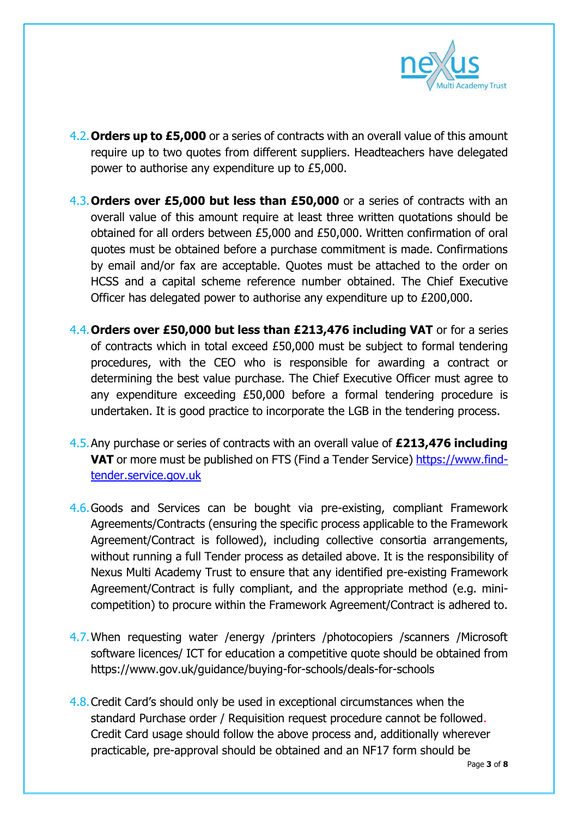

- 4.2.**Orders up to £5,000** or a series of contracts with an overall value of this amount require up to two quotes from different suppliers. Headteachers have delegated power to authorise any expenditure up to £5,000.
- 4.3.**Orders over £5,000 but less than £50,000** or a series of contracts with an overall value of this amount require at least three written quotations should be obtained for all orders between £5,000 and £50,000. Written confirmation of oral quotes must be obtained before a purchase commitment is made. Confirmations by email and/or fax are acceptable. Quotes must be attached to the order on HCSS and a capital scheme reference number obtained. The Chief Executive Officer has delegated power to authorise any expenditure up to £200,000.
- 4.4.**Orders over £50,000 but less than £213,476 including VAT** or for a series of contracts which in total exceed £50,000 must be subject to formal tendering procedures, with the CEO who is responsible for awarding a contract or determining the best value purchase. The Chief Executive Officer must agree to any expenditure exceeding £50,000 before a formal tendering procedure is undertaken. It is good practice to incorporate the LGB in the tendering process.
- 4.5.Any purchase or series of contracts with an overall value of **£213,476 including VAT** or more must be published on FTS (Find a Tender Service) [https://www.find](https://www.find-tender.service.gov.uk/)[tender.service.gov.uk](https://www.find-tender.service.gov.uk/)
- 4.6.Goods and Services can be bought via pre-existing, compliant Framework Agreements/Contracts (ensuring the specific process applicable to the Framework Agreement/Contract is followed), including collective consortia arrangements, without running a full Tender process as detailed above. It is the responsibility of Nexus Multi Academy Trust to ensure that any identified pre-existing Framework Agreement/Contract is fully compliant, and the appropriate method (e.g. minicompetition) to procure within the Framework Agreement/Contract is adhered to.
- 4.7.When requesting water /energy /printers /photocopiers /scanners /Microsoft software licences/ ICT for education a competitive quote should be obtained from https://www.gov.uk/guidance/buying-for-schools/deals-for-schools
- 4.8.Credit Card's should only be used in exceptional circumstances when the standard Purchase order / Requisition request procedure cannot be followed. Credit Card usage should follow the above process and, additionally wherever practicable, pre-approval should be obtained and an NF17 form should be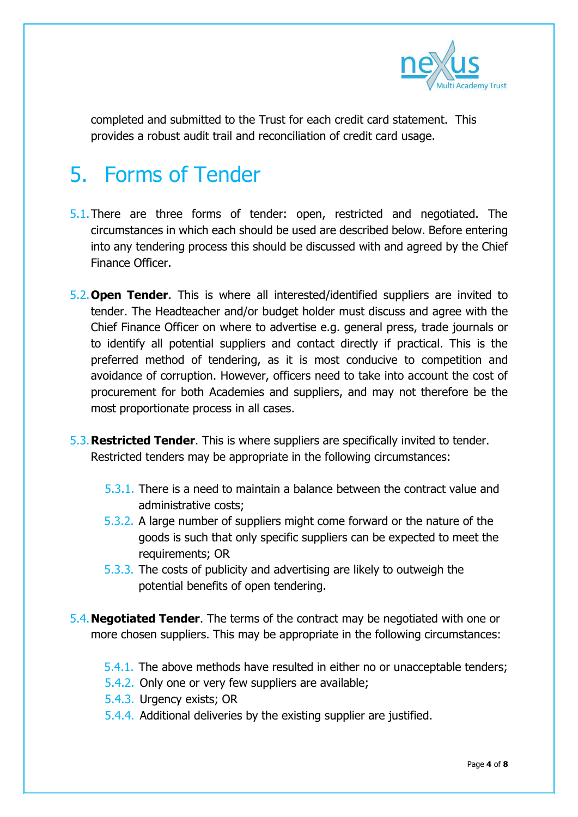

completed and submitted to the Trust for each credit card statement. This provides a robust audit trail and reconciliation of credit card usage.

## 5. Forms of Tender

- 5.1.There are three forms of tender: open, restricted and negotiated. The circumstances in which each should be used are described below. Before entering into any tendering process this should be discussed with and agreed by the Chief Finance Officer.
- 5.2.**Open Tender**. This is where all interested/identified suppliers are invited to tender. The Headteacher and/or budget holder must discuss and agree with the Chief Finance Officer on where to advertise e.g. general press, trade journals or to identify all potential suppliers and contact directly if practical. This is the preferred method of tendering, as it is most conducive to competition and avoidance of corruption. However, officers need to take into account the cost of procurement for both Academies and suppliers, and may not therefore be the most proportionate process in all cases.
- 5.3.**Restricted Tender**. This is where suppliers are specifically invited to tender. Restricted tenders may be appropriate in the following circumstances:
	- 5.3.1. There is a need to maintain a balance between the contract value and administrative costs;
	- 5.3.2. A large number of suppliers might come forward or the nature of the goods is such that only specific suppliers can be expected to meet the requirements; OR
	- 5.3.3. The costs of publicity and advertising are likely to outweigh the potential benefits of open tendering.
- 5.4.**Negotiated Tender**. The terms of the contract may be negotiated with one or more chosen suppliers. This may be appropriate in the following circumstances:
	- 5.4.1. The above methods have resulted in either no or unacceptable tenders;
	- 5.4.2. Only one or very few suppliers are available;
	- 5.4.3. Urgency exists; OR
	- 5.4.4. Additional deliveries by the existing supplier are justified.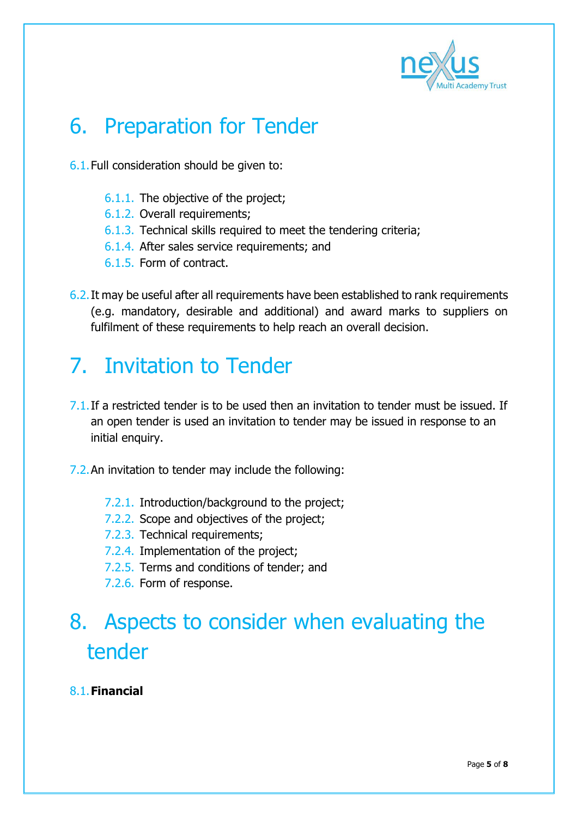

## 6. Preparation for Tender

- 6.1.Full consideration should be given to:
	- 6.1.1. The objective of the project;
	- 6.1.2. Overall requirements;
	- 6.1.3. Technical skills required to meet the tendering criteria;
	- 6.1.4. After sales service requirements; and
	- 6.1.5. Form of contract.
- 6.2.It may be useful after all requirements have been established to rank requirements (e.g. mandatory, desirable and additional) and award marks to suppliers on fulfilment of these requirements to help reach an overall decision.

### 7. Invitation to Tender

- $7.1$ . If a restricted tender is to be used then an invitation to tender must be issued. If an open tender is used an invitation to tender may be issued in response to an initial enquiry.
- 7.2.An invitation to tender may include the following:
	- 7.2.1. Introduction/background to the project;
	- 7.2.2. Scope and objectives of the project;
	- 7.2.3. Technical requirements;
	- 7.2.4. Implementation of the project;
	- 7.2.5. Terms and conditions of tender; and
	- 7.2.6. Form of response.

### 8. Aspects to consider when evaluating the tender

#### 8.1.**Financial**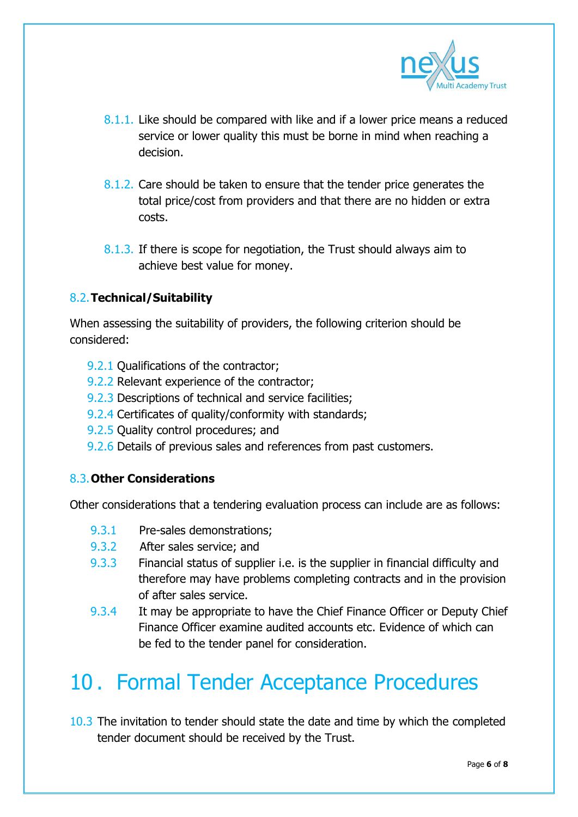

- 8.1.1. Like should be compared with like and if a lower price means a reduced service or lower quality this must be borne in mind when reaching a decision.
- 8.1.2. Care should be taken to ensure that the tender price generates the total price/cost from providers and that there are no hidden or extra costs.
- 8.1.3. If there is scope for negotiation, the Trust should always aim to achieve best value for money.

#### 8.2.**Technical/Suitability**

When assessing the suitability of providers, the following criterion should be considered:

- 9.2.1 Qualifications of the contractor;
- 9.2.2 Relevant experience of the contractor;
- 9.2.3 Descriptions of technical and service facilities;
- 9.2.4 Certificates of quality/conformity with standards;
- 9.2.5 Quality control procedures; and
- 9.2.6 Details of previous sales and references from past customers.

#### 8.3.**Other Considerations**

Other considerations that a tendering evaluation process can include are as follows:

- 9.3.1 Pre-sales demonstrations;
- 9.3.2 After sales service; and
- 9.3.3 Financial status of supplier i.e. is the supplier in financial difficulty and therefore may have problems completing contracts and in the provision of after sales service.
- 9.3.4 It may be appropriate to have the Chief Finance Officer or Deputy Chief Finance Officer examine audited accounts etc. Evidence of which can be fed to the tender panel for consideration.

#### 10 . Formal Tender Acceptance Procedures

10.3 The invitation to tender should state the date and time by which the completed tender document should be received by the Trust.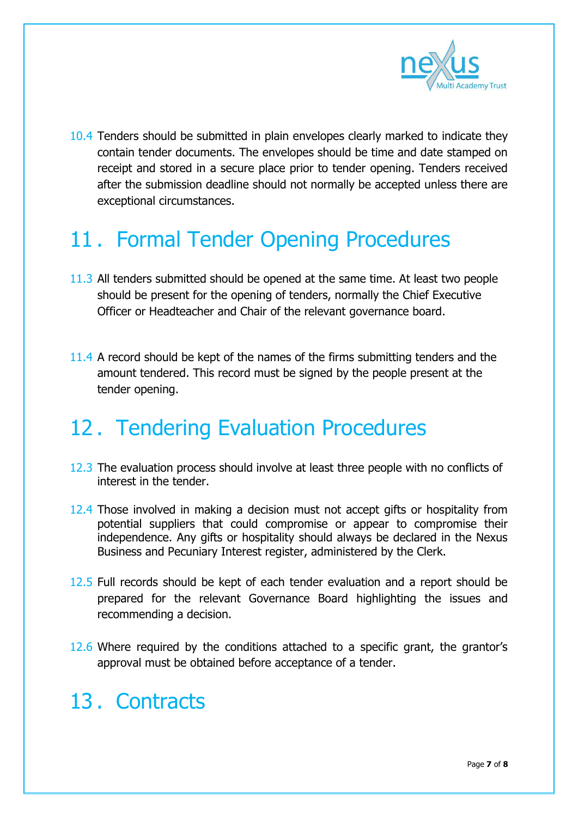

10.4 Tenders should be submitted in plain envelopes clearly marked to indicate they contain tender documents. The envelopes should be time and date stamped on receipt and stored in a secure place prior to tender opening. Tenders received after the submission deadline should not normally be accepted unless there are exceptional circumstances.

#### 11 . Formal Tender Opening Procedures

- 11.3 All tenders submitted should be opened at the same time. At least two people should be present for the opening of tenders, normally the Chief Executive Officer or Headteacher and Chair of the relevant governance board.
- 11.4 A record should be kept of the names of the firms submitting tenders and the amount tendered. This record must be signed by the people present at the tender opening.

#### 12 . Tendering Evaluation Procedures

- 12.3 The evaluation process should involve at least three people with no conflicts of interest in the tender.
- 12.4 Those involved in making a decision must not accept gifts or hospitality from potential suppliers that could compromise or appear to compromise their independence. Any gifts or hospitality should always be declared in the Nexus Business and Pecuniary Interest register, administered by the Clerk.
- 12.5 Full records should be kept of each tender evaluation and a report should be prepared for the relevant Governance Board highlighting the issues and recommending a decision.
- 12.6 Where required by the conditions attached to a specific grant, the grantor's approval must be obtained before acceptance of a tender.

#### 13 . Contracts